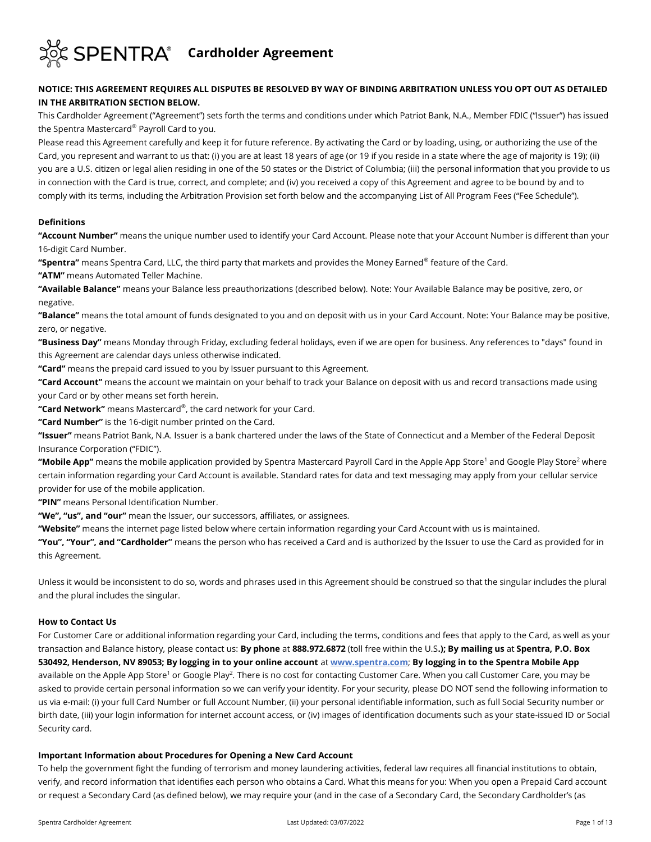

# **NOTICE: THIS AGREEMENT REQUIRES ALL DISPUTES BE RESOLVED BY WAY OF BINDING ARBITRATION UNLESS YOU OPT OUT AS DETAILED IN THE ARBITRATION SECTION BELOW.**

This Cardholder Agreement ("Agreement") sets forth the terms and conditions under which Patriot Bank, N.A., Member FDIC ("Issuer") has issued the Spentra Mastercard® Payroll Card to you.

Please read this Agreement carefully and keep it for future reference. By activating the Card or by loading, using, or authorizing the use of the Card, you represent and warrant to us that: (i) you are at least 18 years of age (or 19 if you reside in a state where the age of majority is 19); (ii) you are a U.S. citizen or legal alien residing in one of the 50 states or the District of Columbia; (iii) the personal information that you provide to us in connection with the Card is true, correct, and complete; and (iv) you received a copy of this Agreement and agree to be bound by and to comply with its terms, including the Arbitration Provision set forth below and the accompanying List of All Program Fees ("Fee Schedule").

#### **Definitions**

**"Account Number"** means the unique number used to identify your Card Account. Please note that your Account Number is different than your 16-digit Card Number.

**"Spentra"** means Spentra Card, LLC, the third party that markets and provides the Money Earned® feature of the Card.

**"ATM"** means Automated Teller Machine.

**"Available Balance"** means your Balance less preauthorizations (described below). Note: Your Available Balance may be positive, zero, or negative.

**"Balance"** means the total amount of funds designated to you and on deposit with us in your Card Account. Note: Your Balance may be positive, zero, or negative.

**"Business Day"** means Monday through Friday, excluding federal holidays, even if we are open for business. Any references to "days" found in this Agreement are calendar days unless otherwise indicated.

**"Card"** means the prepaid card issued to you by Issuer pursuant to this Agreement.

**"Card Account"** means the account we maintain on your behalf to track your Balance on deposit with us and record transactions made using your Card or by other means set forth herein.

**"Card Network"** means Mastercard® , the card network for your Card.

**"Card Number"** is the 16-digit number printed on the Card.

**"Issuer"** means Patriot Bank, N.A. Issuer is a bank chartered under the laws of the State of Connecticut and a Member of the Federal Deposit Insurance Corporation ("FDIC").

**"Mobile App"** means the mobile application provided by Spentra Mastercard Payroll Card in the Apple App Store<sup>1</sup> and Google Play Store<sup>2</sup> where certain information regarding your Card Account is available. Standard rates for data and text messaging may apply from your cellular service provider for use of the mobile application.

**"PIN"** means Personal Identification Number.

**"We", "us", and "our"** mean the Issuer, our successors, affiliates, or assignees.

**"Website"** means the internet page listed below where certain information regarding your Card Account with us is maintained.

**"You", "Your", and "Cardholder"** means the person who has received a Card and is authorized by the Issuer to use the Card as provided for in this Agreement.

Unless it would be inconsistent to do so, words and phrases used in this Agreement should be construed so that the singular includes the plural and the plural includes the singular.

#### **How to Contact Us**

For Customer Care or additional information regarding your Card, including the terms, conditions and fees that apply to the Card, as well as your transaction and Balance history, please contact us: **By phone** at **888.972.6872** (toll free within the U.S**.); By mailing us** at **Spentra, P.O. Box 530492, Henderson, NV 89053; By logging in to your online account** at **[www.spentra.com](http://www.spentra.com/)**; **By logging in to the Spentra Mobile App**  available on the Apple App Store<sup>1</sup> or Google Play<sup>2</sup>. There is no cost for contacting Customer Care. When you call Customer Care, you may be asked to provide certain personal information so we can verify your identity. For your security, please DO NOT send the following information to us via e-mail: (i) your full Card Number or full Account Number, (ii) your personal identifiable information, such as full Social Security number or birth date, (iii) your login information for internet account access, or (iv) images of identification documents such as your state-issued ID or Social Security card.

#### **Important Information about Procedures for Opening a New Card Account**

To help the government fight the funding of terrorism and money laundering activities, federal law requires all financial institutions to obtain, verify, and record information that identifies each person who obtains a Card. What this means for you: When you open a Prepaid Card account or request a Secondary Card (as defined below), we may require your (and in the case of a Secondary Card, the Secondary Cardholder's (as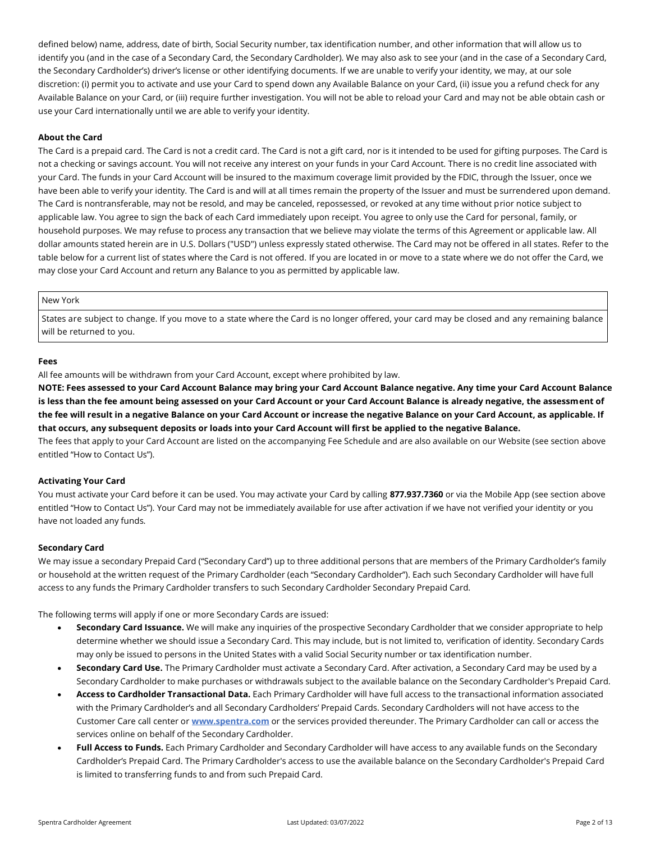defined below) name, address, date of birth, Social Security number, tax identification number, and other information that will allow us to identify you (and in the case of a Secondary Card, the Secondary Cardholder). We may also ask to see your (and in the case of a Secondary Card, the Secondary Cardholder's) driver's license or other identifying documents. If we are unable to verify your identity, we may, at our sole discretion: (i) permit you to activate and use your Card to spend down any Available Balance on your Card, (ii) issue you a refund check for any Available Balance on your Card, or (iii) require further investigation. You will not be able to reload your Card and may not be able obtain cash or use your Card internationally until we are able to verify your identity.

## **About the Card**

The Card is a prepaid card. The Card is not a credit card. The Card is not a gift card, nor is it intended to be used for gifting purposes. The Card is not a checking or savings account. You will not receive any interest on your funds in your Card Account. There is no credit line associated with your Card. The funds in your Card Account will be insured to the maximum coverage limit provided by the FDIC, through the Issuer, once we have been able to verify your identity. The Card is and will at all times remain the property of the Issuer and must be surrendered upon demand. The Card is nontransferable, may not be resold, and may be canceled, repossessed, or revoked at any time without prior notice subject to applicable law. You agree to sign the back of each Card immediately upon receipt. You agree to only use the Card for personal, family, or household purposes. We may refuse to process any transaction that we believe may violate the terms of this Agreement or applicable law. All dollar amounts stated herein are in U.S. Dollars ("USD") unless expressly stated otherwise. The Card may not be offered in all states. Refer to the table below for a current list of states where the Card is not offered. If you are located in or move to a state where we do not offer the Card, we may close your Card Account and return any Balance to you as permitted by applicable law.

#### New York

States are subject to change. If you move to a state where the Card is no longer offered, your card may be closed and any remaining balance will be returned to you.

#### **Fees**

All fee amounts will be withdrawn from your Card Account, except where prohibited by law.

**NOTE: Fees assessed to your Card Account Balance may bring your Card Account Balance negative. Any time your Card Account Balance is less than the fee amount being assessed on your Card Account or your Card Account Balance is already negative, the assessment of the fee will result in a negative Balance on your Card Account or increase the negative Balance on your Card Account, as applicable. If that occurs, any subsequent deposits or loads into your Card Account will first be applied to the negative Balance.**

The fees that apply to your Card Account are listed on the accompanying Fee Schedule and are also available on our Website (see section above entitled "How to Contact Us").

#### **Activating Your Card**

You must activate your Card before it can be used. You may activate your Card by calling **877.937.7360** or via the Mobile App (see section above entitled "How to Contact Us"). Your Card may not be immediately available for use after activation if we have not verified your identity or you have not loaded any funds.

#### **Secondary Card**

We may issue a secondary Prepaid Card ("Secondary Card") up to three additional persons that are members of the Primary Cardholder's family or household at the written request of the Primary Cardholder (each "Secondary Cardholder"). Each such Secondary Cardholder will have full access to any funds the Primary Cardholder transfers to such Secondary Cardholder Secondary Prepaid Card.

The following terms will apply if one or more Secondary Cards are issued:

- **Secondary Card Issuance.** We will make any inquiries of the prospective Secondary Cardholder that we consider appropriate to help determine whether we should issue a Secondary Card. This may include, but is not limited to, verification of identity. Secondary Cards may only be issued to persons in the United States with a valid Social Security number or tax identification number.
- **Secondary Card Use.** The Primary Cardholder must activate a Secondary Card. After activation, a Secondary Card may be used by a Secondary Cardholder to make purchases or withdrawals subject to the available balance on the Secondary Cardholder's Prepaid Card.
- **Access to Cardholder Transactional Data.** Each Primary Cardholder will have full access to the transactional information associated with the Primary Cardholder's and all Secondary Cardholders' Prepaid Cards. Secondary Cardholders will not have access to the Customer Care call center or **[www.spentra.com](http://www.spentra.com/)** or the services provided thereunder. The Primary Cardholder can call or access the services online on behalf of the Secondary Cardholder.
- **Full Access to Funds.** Each Primary Cardholder and Secondary Cardholder will have access to any available funds on the Secondary Cardholder's Prepaid Card. The Primary Cardholder's access to use the available balance on the Secondary Cardholder's Prepaid Card is limited to transferring funds to and from such Prepaid Card.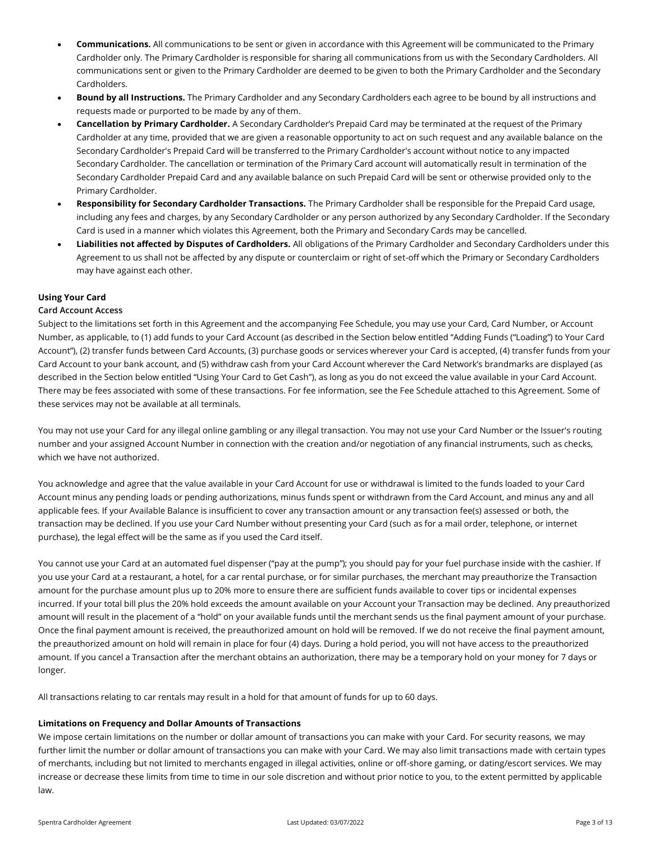- **Communications.** All communications to be sent or given in accordance with this Agreement will be communicated to the Primary Cardholder only. The Primary Cardholder is responsible for sharing all communications from us with the Secondary Cardholders. All communications sent or given to the Primary Cardholder are deemed to be given to both the Primary Cardholder and the Secondary Cardholders.
- **Bound by all Instructions.** The Primary Cardholder and any Secondary Cardholders each agree to be bound by all instructions and requests made or purported to be made by any of them.
- **Cancellation by Primary Cardholder.** A Secondary Cardholder's Prepaid Card may be terminated at the request of the Primary Cardholder at any time, provided that we are given a reasonable opportunity to act on such request and any available balance on the Secondary Cardholder's Prepaid Card will be transferred to the Primary Cardholder's account without notice to any impacted Secondary Cardholder. The cancellation or termination of the Primary Card account will automatically result in termination of the Secondary Cardholder Prepaid Card and any available balance on such Prepaid Card will be sent or otherwise provided only to the Primary Cardholder.
- **Responsibility for Secondary Cardholder Transactions.** The Primary Cardholder shall be responsible for the Prepaid Card usage, including any fees and charges, by any Secondary Cardholder or any person authorized by any Secondary Cardholder. If the Secondary Card is used in a manner which violates this Agreement, both the Primary and Secondary Cards may be cancelled.
- **Liabilities not affected by Disputes of Cardholders.** All obligations of the Primary Cardholder and Secondary Cardholders under this Agreement to us shall not be affected by any dispute or counterclaim or right of set-off which the Primary or Secondary Cardholders may have against each other.

# **Using Your Card**

# **Card Account Access**

Subject to the limitations set forth in this Agreement and the accompanying Fee Schedule, you may use your Card, Card Number, or Account Number, as applicable, to (1) add funds to your Card Account (as described in the Section below entitled "Adding Funds ("Loading") to Your Card Account"), (2) transfer funds between Card Accounts, (3) purchase goods or services wherever your Card is accepted, (4) transfer funds from your Card Account to your bank account, and (5) withdraw cash from your Card Account wherever the Card Network's brandmarks are displayed (as described in the Section below entitled "Using Your Card to Get Cash"), as long as you do not exceed the value available in your Card Account. There may be fees associated with some of these transactions. For fee information, see the Fee Schedule attached to this Agreement. Some of these services may not be available at all terminals.

You may not use your Card for any illegal online gambling or any illegal transaction. You may not use your Card Number or the Issuer's routing number and your assigned Account Number in connection with the creation and/or negotiation of any financial instruments, such as checks, which we have not authorized.

You acknowledge and agree that the value available in your Card Account for use or withdrawal is limited to the funds loaded to your Card Account minus any pending loads or pending authorizations, minus funds spent or withdrawn from the Card Account, and minus any and all applicable fees. If your Available Balance is insufficient to cover any transaction amount or any transaction fee(s) assessed or both, the transaction may be declined. If you use your Card Number without presenting your Card (such as for a mail order, telephone, or internet purchase), the legal effect will be the same as if you used the Card itself.

You cannot use your Card at an automated fuel dispenser ("pay at the pump"); you should pay for your fuel purchase inside with the cashier. If you use your Card at a restaurant, a hotel, for a car rental purchase, or for similar purchases, the merchant may preauthorize the Transaction amount for the purchase amount plus up to 20% more to ensure there are sufficient funds available to cover tips or incidental expenses incurred. If your total bill plus the 20% hold exceeds the amount available on your Account your Transaction may be declined. Any preauthorized amount will result in the placement of a "hold" on your available funds until the merchant sends us the final payment amount of your purchase. Once the final payment amount is received, the preauthorized amount on hold will be removed. If we do not receive the final payment amount, the preauthorized amount on hold will remain in place for four (4) days. During a hold period, you will not have access to the preauthorized amount. If you cancel a Transaction after the merchant obtains an authorization, there may be a temporary hold on your money for 7 days or longer.

All transactions relating to car rentals may result in a hold for that amount of funds for up to 60 days.

# **Limitations on Frequency and Dollar Amounts of Transactions**

We impose certain limitations on the number or dollar amount of transactions you can make with your Card. For security reasons, we may further limit the number or dollar amount of transactions you can make with your Card. We may also limit transactions made with certain types of merchants, including but not limited to merchants engaged in illegal activities, online or off-shore gaming, or dating/escort services. We may increase or decrease these limits from time to time in our sole discretion and without prior notice to you, to the extent permitted by applicable law.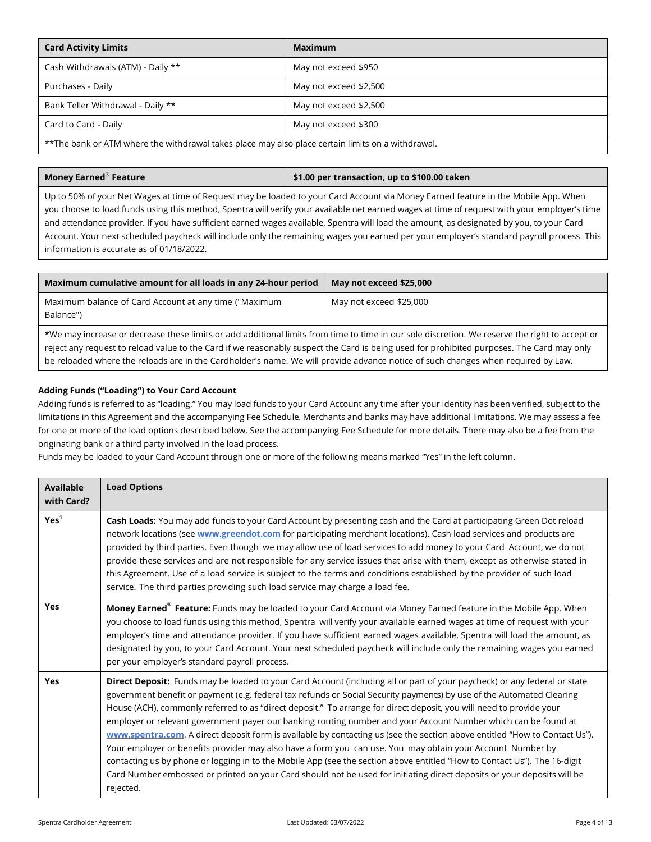| <b>Card Activity Limits</b>                                                                       | Maximum                |
|---------------------------------------------------------------------------------------------------|------------------------|
| Cash Withdrawals (ATM) - Daily **                                                                 | May not exceed \$950   |
| Purchases - Daily                                                                                 | May not exceed \$2,500 |
| Bank Teller Withdrawal - Daily **                                                                 | May not exceed \$2,500 |
| Card to Card - Daily                                                                              | May not exceed \$300   |
| **The bank or ATM where the withdrawal takes place may also place certain limits on a withdrawal. |                        |

## **Money Earned**®

## \$1.00 per transaction, up to \$100.00 taken

Up to 50% of your Net Wages at time of Request may be loaded to your Card Account via Money Earned feature in the Mobile App. When you choose to load funds using this method, Spentra will verify your available net earned wages at time of request with your employer's time and attendance provider. If you have sufficient earned wages available, Spentra will load the amount, as designated by you, to your Card Account. Your next scheduled paycheck will include only the remaining wages you earned per your employer's standard payroll process. This information is accurate as of 01/18/2022.

| Maximum cumulative amount for all loads in any 24-hour period                                                                                                                                                                                                                                                                                                                                                                   | May not exceed \$25,000 |  |
|---------------------------------------------------------------------------------------------------------------------------------------------------------------------------------------------------------------------------------------------------------------------------------------------------------------------------------------------------------------------------------------------------------------------------------|-------------------------|--|
| Maximum balance of Card Account at any time ("Maximum<br>Balance")                                                                                                                                                                                                                                                                                                                                                              | May not exceed \$25,000 |  |
| *We may increase or decrease these limits or add additional limits from time to time in our sole discretion. We reserve the right to accept or<br>reject any request to reload value to the Card if we reasonably suspect the Card is being used for prohibited purposes. The Card may only<br>be reloaded where the reloads are in the Cardholder's name. We will provide advance notice of such changes when required by Law. |                         |  |

# **Adding Funds ("Loading") to Your Card Account**

Adding funds is referred to as "loading." You may load funds to your Card Account any time after your identity has been verified, subject to the limitations in this Agreement and the accompanying Fee Schedule. Merchants and banks may have additional limitations. We may assess a fee for one or more of the load options described below. See the accompanying Fee Schedule for more details. There may also be a fee from the originating bank or a third party involved in the load process.

Funds may be loaded to your Card Account through one or more of the following means marked "Yes" in the left column.

| Available<br>with Card? | <b>Load Options</b>                                                                                                                                                                                                                                                                                                                                                                                                                                                                                                                                                                                                                                                                                                                                                                                                                                                                                                                                                                                          |
|-------------------------|--------------------------------------------------------------------------------------------------------------------------------------------------------------------------------------------------------------------------------------------------------------------------------------------------------------------------------------------------------------------------------------------------------------------------------------------------------------------------------------------------------------------------------------------------------------------------------------------------------------------------------------------------------------------------------------------------------------------------------------------------------------------------------------------------------------------------------------------------------------------------------------------------------------------------------------------------------------------------------------------------------------|
| Yes <sup>1</sup>        | Cash Loads: You may add funds to your Card Account by presenting cash and the Card at participating Green Dot reload<br>network locations (see www.greendot.com for participating merchant locations). Cash load services and products are<br>provided by third parties. Even though we may allow use of load services to add money to your Card Account, we do not<br>provide these services and are not responsible for any service issues that arise with them, except as otherwise stated in<br>this Agreement. Use of a load service is subject to the terms and conditions established by the provider of such load<br>service. The third parties providing such load service may charge a load fee.                                                                                                                                                                                                                                                                                                   |
| <b>Yes</b>              | Money Earned <sup>®</sup> Feature: Funds may be loaded to your Card Account via Money Earned feature in the Mobile App. When<br>you choose to load funds using this method, Spentra will verify your available earned wages at time of request with your<br>employer's time and attendance provider. If you have sufficient earned wages available, Spentra will load the amount, as<br>designated by you, to your Card Account. Your next scheduled paycheck will include only the remaining wages you earned<br>per your employer's standard payroll process.                                                                                                                                                                                                                                                                                                                                                                                                                                              |
| Yes                     | Direct Deposit: Funds may be loaded to your Card Account (including all or part of your paycheck) or any federal or state<br>government benefit or payment (e.g. federal tax refunds or Social Security payments) by use of the Automated Clearing<br>House (ACH), commonly referred to as "direct deposit." To arrange for direct deposit, you will need to provide your<br>employer or relevant government payer our banking routing number and your Account Number which can be found at<br>www.spentra.com. A direct deposit form is available by contacting us (see the section above entitled "How to Contact Us").<br>Your employer or benefits provider may also have a form you can use. You may obtain your Account Number by<br>contacting us by phone or logging in to the Mobile App (see the section above entitled "How to Contact Us"). The 16-digit<br>Card Number embossed or printed on your Card should not be used for initiating direct deposits or your deposits will be<br>rejected. |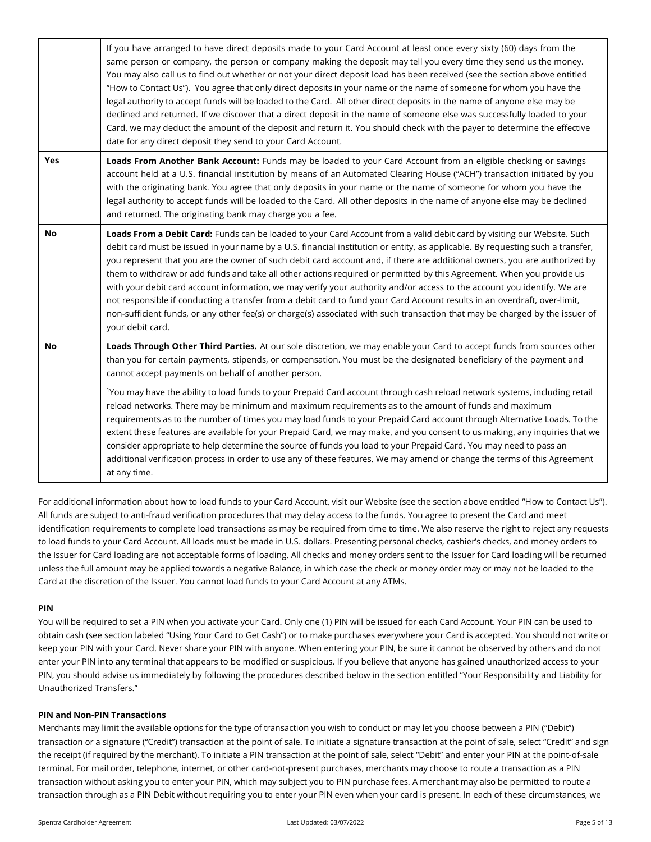|           | If you have arranged to have direct deposits made to your Card Account at least once every sixty (60) days from the<br>same person or company, the person or company making the deposit may tell you every time they send us the money.<br>You may also call us to find out whether or not your direct deposit load has been received (see the section above entitled<br>"How to Contact Us"). You agree that only direct deposits in your name or the name of someone for whom you have the<br>legal authority to accept funds will be loaded to the Card. All other direct deposits in the name of anyone else may be<br>declined and returned. If we discover that a direct deposit in the name of someone else was successfully loaded to your<br>Card, we may deduct the amount of the deposit and return it. You should check with the payer to determine the effective<br>date for any direct deposit they send to your Card Account. |
|-----------|----------------------------------------------------------------------------------------------------------------------------------------------------------------------------------------------------------------------------------------------------------------------------------------------------------------------------------------------------------------------------------------------------------------------------------------------------------------------------------------------------------------------------------------------------------------------------------------------------------------------------------------------------------------------------------------------------------------------------------------------------------------------------------------------------------------------------------------------------------------------------------------------------------------------------------------------|
| Yes       | Loads From Another Bank Account: Funds may be loaded to your Card Account from an eligible checking or savings<br>account held at a U.S. financial institution by means of an Automated Clearing House ("ACH") transaction initiated by you<br>with the originating bank. You agree that only deposits in your name or the name of someone for whom you have the<br>legal authority to accept funds will be loaded to the Card. All other deposits in the name of anyone else may be declined<br>and returned. The originating bank may charge you a fee.                                                                                                                                                                                                                                                                                                                                                                                    |
| <b>No</b> | Loads From a Debit Card: Funds can be loaded to your Card Account from a valid debit card by visiting our Website. Such<br>debit card must be issued in your name by a U.S. financial institution or entity, as applicable. By requesting such a transfer,<br>you represent that you are the owner of such debit card account and, if there are additional owners, you are authorized by<br>them to withdraw or add funds and take all other actions required or permitted by this Agreement. When you provide us<br>with your debit card account information, we may verify your authority and/or access to the account you identify. We are<br>not responsible if conducting a transfer from a debit card to fund your Card Account results in an overdraft, over-limit,<br>non-sufficient funds, or any other fee(s) or charge(s) associated with such transaction that may be charged by the issuer of<br>your debit card.               |
| No        | Loads Through Other Third Parties. At our sole discretion, we may enable your Card to accept funds from sources other<br>than you for certain payments, stipends, or compensation. You must be the designated beneficiary of the payment and<br>cannot accept payments on behalf of another person.                                                                                                                                                                                                                                                                                                                                                                                                                                                                                                                                                                                                                                          |
|           | <sup>1</sup> You may have the ability to load funds to your Prepaid Card account through cash reload network systems, including retail<br>reload networks. There may be minimum and maximum requirements as to the amount of funds and maximum<br>requirements as to the number of times you may load funds to your Prepaid Card account through Alternative Loads. To the<br>extent these features are available for your Prepaid Card, we may make, and you consent to us making, any inquiries that we<br>consider appropriate to help determine the source of funds you load to your Prepaid Card. You may need to pass an<br>additional verification process in order to use any of these features. We may amend or change the terms of this Agreement<br>at any time.                                                                                                                                                                  |

For additional information about how to load funds to your Card Account, visit our Website (see the section above entitled "How to Contact Us"). All funds are subject to anti-fraud verification procedures that may delay access to the funds. You agree to present the Card and meet identification requirements to complete load transactions as may be required from time to time. We also reserve the right to reject any requests to load funds to your Card Account. All loads must be made in U.S. dollars. Presenting personal checks, cashier's checks, and money orders to the Issuer for Card loading are not acceptable forms of loading. All checks and money orders sent to the Issuer for Card loading will be returned unless the full amount may be applied towards a negative Balance, in which case the check or money order may or may not be loaded to the Card at the discretion of the Issuer. You cannot load funds to your Card Account at any ATMs.

#### **PIN**

You will be required to set a PIN when you activate your Card. Only one (1) PIN will be issued for each Card Account. Your PIN can be used to obtain cash (see section labeled "Using Your Card to Get Cash") or to make purchases everywhere your Card is accepted. You should not write or keep your PIN with your Card. Never share your PIN with anyone. When entering your PIN, be sure it cannot be observed by others and do not enter your PIN into any terminal that appears to be modified or suspicious. If you believe that anyone has gained unauthorized access to your PIN, you should advise us immediately by following the procedures described below in the section entitled "Your Responsibility and Liability for Unauthorized Transfers."

# **PIN and Non-PIN Transactions**

Merchants may limit the available options for the type of transaction you wish to conduct or may let you choose between a PIN ("Debit") transaction or a signature ("Credit") transaction at the point of sale. To initiate a signature transaction at the point of sale, select "Credit" and sign the receipt (if required by the merchant). To initiate a PIN transaction at the point of sale, select "Debit" and enter your PIN at the point-of-sale terminal. For mail order, telephone, internet, or other card-not-present purchases, merchants may choose to route a transaction as a PIN transaction without asking you to enter your PIN, which may subject you to PIN purchase fees. A merchant may also be permitted to route a transaction through as a PIN Debit without requiring you to enter your PIN even when your card is present. In each of these circumstances, we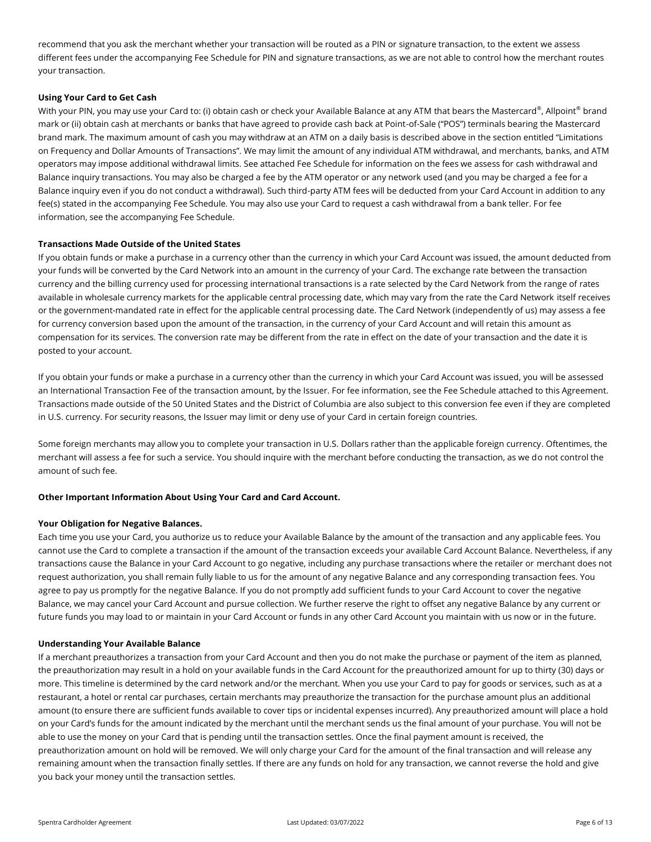recommend that you ask the merchant whether your transaction will be routed as a PIN or signature transaction, to the extent we assess different fees under the accompanying Fee Schedule for PIN and signature transactions, as we are not able to control how the merchant routes your transaction.

## **Using Your Card to Get Cash**

With your PIN, you may use your Card to: (i) obtain cash or check your Available Balance at any ATM that bears the Mastercard® , Allpoint® brand mark or (ii) obtain cash at merchants or banks that have agreed to provide cash back at Point-of-Sale ("POS") terminals bearing the Mastercard brand mark. The maximum amount of cash you may withdraw at an ATM on a daily basis is described above in the section entitled "Limitations on Frequency and Dollar Amounts of Transactions". We may limit the amount of any individual ATM withdrawal, and merchants, banks, and ATM operators may impose additional withdrawal limits. See attached Fee Schedule for information on the fees we assess for cash withdrawal and Balance inquiry transactions. You may also be charged a fee by the ATM operator or any network used (and you may be charged a fee for a Balance inquiry even if you do not conduct a withdrawal). Such third-party ATM fees will be deducted from your Card Account in addition to any fee(s) stated in the accompanying Fee Schedule. You may also use your Card to request a cash withdrawal from a bank teller. For fee information, see the accompanying Fee Schedule.

## **Transactions Made Outside of the United States**

If you obtain funds or make a purchase in a currency other than the currency in which your Card Account was issued, the amount deducted from your funds will be converted by the Card Network into an amount in the currency of your Card. The exchange rate between the transaction currency and the billing currency used for processing international transactions is a rate selected by the Card Network from the range of rates available in wholesale currency markets for the applicable central processing date, which may vary from the rate the Card Network itself receives or the government-mandated rate in effect for the applicable central processing date. The Card Network (independently of us) may assess a fee for currency conversion based upon the amount of the transaction, in the currency of your Card Account and will retain this amount as compensation for its services. The conversion rate may be different from the rate in effect on the date of your transaction and the date it is posted to your account.

If you obtain your funds or make a purchase in a currency other than the currency in which your Card Account was issued, you will be assessed an International Transaction Fee of the transaction amount, by the Issuer. For fee information, see the Fee Schedule attached to this Agreement. Transactions made outside of the 50 United States and the District of Columbia are also subject to this conversion fee even if they are completed in U.S. currency. For security reasons, the Issuer may limit or deny use of your Card in certain foreign countries.

Some foreign merchants may allow you to complete your transaction in U.S. Dollars rather than the applicable foreign currency. Oftentimes, the merchant will assess a fee for such a service. You should inquire with the merchant before conducting the transaction, as we do not control the amount of such fee.

## **Other Important Information About Using Your Card and Card Account.**

#### **Your Obligation for Negative Balances.**

Each time you use your Card, you authorize us to reduce your Available Balance by the amount of the transaction and any applicable fees. You cannot use the Card to complete a transaction if the amount of the transaction exceeds your available Card Account Balance. Nevertheless, if any transactions cause the Balance in your Card Account to go negative, including any purchase transactions where the retailer or merchant does not request authorization, you shall remain fully liable to us for the amount of any negative Balance and any corresponding transaction fees. You agree to pay us promptly for the negative Balance. If you do not promptly add sufficient funds to your Card Account to cover the negative Balance, we may cancel your Card Account and pursue collection. We further reserve the right to offset any negative Balance by any current or future funds you may load to or maintain in your Card Account or funds in any other Card Account you maintain with us now or in the future.

## **Understanding Your Available Balance**

If a merchant preauthorizes a transaction from your Card Account and then you do not make the purchase or payment of the item as planned, the preauthorization may result in a hold on your available funds in the Card Account for the preauthorized amount for up to thirty (30) days or more. This timeline is determined by the card network and/or the merchant. When you use your Card to pay for goods or services, such as at a restaurant, a hotel or rental car purchases, certain merchants may preauthorize the transaction for the purchase amount plus an additional amount (to ensure there are sufficient funds available to cover tips or incidental expenses incurred). Any preauthorized amount will place a hold on your Card's funds for the amount indicated by the merchant until the merchant sends us the final amount of your purchase. You will not be able to use the money on your Card that is pending until the transaction settles. Once the final payment amount is received, the preauthorization amount on hold will be removed. We will only charge your Card for the amount of the final transaction and will release any remaining amount when the transaction finally settles. If there are any funds on hold for any transaction, we cannot reverse the hold and give you back your money until the transaction settles.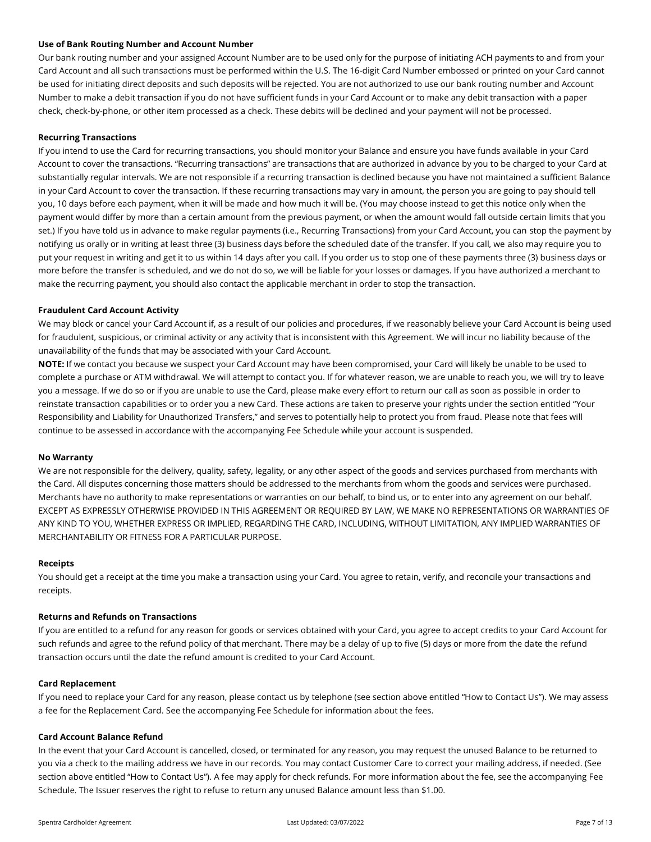## **Use of Bank Routing Number and Account Number**

Our bank routing number and your assigned Account Number are to be used only for the purpose of initiating ACH payments to and from your Card Account and all such transactions must be performed within the U.S. The 16-digit Card Number embossed or printed on your Card cannot be used for initiating direct deposits and such deposits will be rejected. You are not authorized to use our bank routing number and Account Number to make a debit transaction if you do not have sufficient funds in your Card Account or to make any debit transaction with a paper check, check-by-phone, or other item processed as a check. These debits will be declined and your payment will not be processed.

## **Recurring Transactions**

If you intend to use the Card for recurring transactions, you should monitor your Balance and ensure you have funds available in your Card Account to cover the transactions. "Recurring transactions" are transactions that are authorized in advance by you to be charged to your Card at substantially regular intervals. We are not responsible if a recurring transaction is declined because you have not maintained a sufficient Balance in your Card Account to cover the transaction. If these recurring transactions may vary in amount, the person you are going to pay should tell you, 10 days before each payment, when it will be made and how much it will be. (You may choose instead to get this notice only when the payment would differ by more than a certain amount from the previous payment, or when the amount would fall outside certain limits that you set.) If you have told us in advance to make regular payments (i.e., Recurring Transactions) from your Card Account, you can stop the payment by notifying us orally or in writing at least three (3) business days before the scheduled date of the transfer. If you call, we also may require you to put your request in writing and get it to us within 14 days after you call. If you order us to stop one of these payments three (3) business days or more before the transfer is scheduled, and we do not do so, we will be liable for your losses or damages. If you have authorized a merchant to make the recurring payment, you should also contact the applicable merchant in order to stop the transaction.

#### **Fraudulent Card Account Activity**

We may block or cancel your Card Account if, as a result of our policies and procedures, if we reasonably believe your Card Account is being used for fraudulent, suspicious, or criminal activity or any activity that is inconsistent with this Agreement. We will incur no liability because of the unavailability of the funds that may be associated with your Card Account.

**NOTE:** If we contact you because we suspect your Card Account may have been compromised, your Card will likely be unable to be used to complete a purchase or ATM withdrawal. We will attempt to contact you. If for whatever reason, we are unable to reach you, we will try to leave you a message. If we do so or if you are unable to use the Card, please make every effort to return our call as soon as possible in order to reinstate transaction capabilities or to order you a new Card. These actions are taken to preserve your rights under the section entitled "Your Responsibility and Liability for Unauthorized Transfers," and serves to potentially help to protect you from fraud. Please note that fees will continue to be assessed in accordance with the accompanying Fee Schedule while your account is suspended.

#### **No Warranty**

We are not responsible for the delivery, quality, safety, legality, or any other aspect of the goods and services purchased from merchants with the Card. All disputes concerning those matters should be addressed to the merchants from whom the goods and services were purchased. Merchants have no authority to make representations or warranties on our behalf, to bind us, or to enter into any agreement on our behalf. EXCEPT AS EXPRESSLY OTHERWISE PROVIDED IN THIS AGREEMENT OR REQUIRED BY LAW, WE MAKE NO REPRESENTATIONS OR WARRANTIES OF ANY KIND TO YOU, WHETHER EXPRESS OR IMPLIED, REGARDING THE CARD, INCLUDING, WITHOUT LIMITATION, ANY IMPLIED WARRANTIES OF MERCHANTABILITY OR FITNESS FOR A PARTICULAR PURPOSE.

#### **Receipts**

You should get a receipt at the time you make a transaction using your Card. You agree to retain, verify, and reconcile your transactions and receipts.

#### **Returns and Refunds on Transactions**

If you are entitled to a refund for any reason for goods or services obtained with your Card, you agree to accept credits to your Card Account for such refunds and agree to the refund policy of that merchant. There may be a delay of up to five (5) days or more from the date the refund transaction occurs until the date the refund amount is credited to your Card Account.

#### **Card Replacement**

If you need to replace your Card for any reason, please contact us by telephone (see section above entitled "How to Contact Us"). We may assess a fee for the Replacement Card. See the accompanying Fee Schedule for information about the fees.

#### **Card Account Balance Refund**

In the event that your Card Account is cancelled, closed, or terminated for any reason, you may request the unused Balance to be returned to you via a check to the mailing address we have in our records. You may contact Customer Care to correct your mailing address, if needed. (See section above entitled "How to Contact Us"). A fee may apply for check refunds. For more information about the fee, see the accompanying Fee Schedule. The Issuer reserves the right to refuse to return any unused Balance amount less than \$1.00.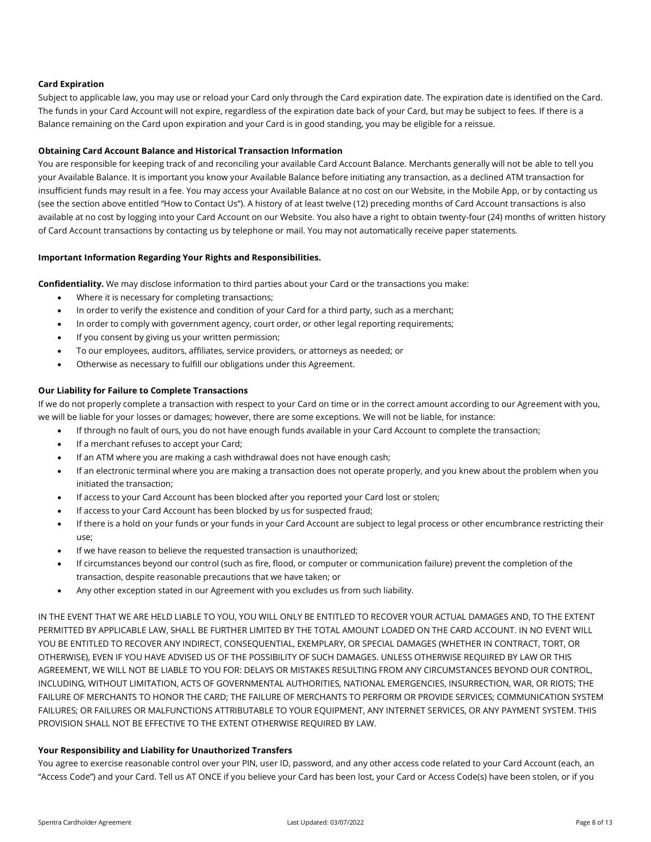# **Card Expiration**

Subject to applicable law, you may use or reload your Card only through the Card expiration date. The expiration date is identified on the Card. The funds in your Card Account will not expire, regardless of the expiration date back of your Card, but may be subject to fees. If there is a Balance remaining on the Card upon expiration and your Card is in good standing, you may be eligible for a reissue.

# **Obtaining Card Account Balance and Historical Transaction Information**

You are responsible for keeping track of and reconciling your available Card Account Balance. Merchants generally will not be able to tell you your Available Balance. It is important you know your Available Balance before initiating any transaction, as a declined ATM transaction for insufficient funds may result in a fee. You may access your Available Balance at no cost on our Website, in the Mobile App, or by contacting us (see the section above entitled "How to Contact Us"). A history of at least twelve (12) preceding months of Card Account transactions is also available at no cost by logging into your Card Account on our Website. You also have a right to obtain twenty-four (24) months of written history of Card Account transactions by contacting us by telephone or mail. You may not automatically receive paper statements.

# **Important Information Regarding Your Rights and Responsibilities.**

**Confidentiality.** We may disclose information to third parties about your Card or the transactions you make:

- Where it is necessary for completing transactions;
- In order to verify the existence and condition of your Card for a third party, such as a merchant;
- In order to comply with government agency, court order, or other legal reporting requirements;
- If you consent by giving us your written permission;
- To our employees, auditors, affiliates, service providers, or attorneys as needed; or
- Otherwise as necessary to fulfill our obligations under this Agreement.

# **Our Liability for Failure to Complete Transactions**

If we do not properly complete a transaction with respect to your Card on time or in the correct amount according to our Agreement with you, we will be liable for your losses or damages; however, there are some exceptions. We will not be liable, for instance:

- If through no fault of ours, you do not have enough funds available in your Card Account to complete the transaction;
- If a merchant refuses to accept your Card;
- If an ATM where you are making a cash withdrawal does not have enough cash;
- If an electronic terminal where you are making a transaction does not operate properly, and you knew about the problem when you initiated the transaction;
- If access to your Card Account has been blocked after you reported your Card lost or stolen;
- If access to your Card Account has been blocked by us for suspected fraud;
- If there is a hold on your funds or your funds in your Card Account are subject to legal process or other encumbrance restricting their use;
- If we have reason to believe the requested transaction is unauthorized;
- If circumstances beyond our control (such as fire, flood, or computer or communication failure) prevent the completion of the transaction, despite reasonable precautions that we have taken; or
- Any other exception stated in our Agreement with you excludes us from such liability.

IN THE EVENT THAT WE ARE HELD LIABLE TO YOU, YOU WILL ONLY BE ENTITLED TO RECOVER YOUR ACTUAL DAMAGES AND, TO THE EXTENT PERMITTED BY APPLICABLE LAW, SHALL BE FURTHER LIMITED BY THE TOTAL AMOUNT LOADED ON THE CARD ACCOUNT. IN NO EVENT WILL YOU BE ENTITLED TO RECOVER ANY INDIRECT, CONSEQUENTIAL, EXEMPLARY, OR SPECIAL DAMAGES (WHETHER IN CONTRACT, TORT, OR OTHERWISE), EVEN IF YOU HAVE ADVISED US OF THE POSSIBILITY OF SUCH DAMAGES. UNLESS OTHERWISE REQUIRED BY LAW OR THIS AGREEMENT, WE WILL NOT BE LIABLE TO YOU FOR: DELAYS OR MISTAKES RESULTING FROM ANY CIRCUMSTANCES BEYOND OUR CONTROL, INCLUDING, WITHOUT LIMITATION, ACTS OF GOVERNMENTAL AUTHORITIES, NATIONAL EMERGENCIES, INSURRECTION, WAR, OR RIOTS; THE FAILURE OF MERCHANTS TO HONOR THE CARD; THE FAILURE OF MERCHANTS TO PERFORM OR PROVIDE SERVICES; COMMUNICATION SYSTEM FAILURES; OR FAILURES OR MALFUNCTIONS ATTRIBUTABLE TO YOUR EQUIPMENT, ANY INTERNET SERVICES, OR ANY PAYMENT SYSTEM. THIS PROVISION SHALL NOT BE EFFECTIVE TO THE EXTENT OTHERWISE REQUIRED BY LAW.

# **Your Responsibility and Liability for Unauthorized Transfers**

You agree to exercise reasonable control over your PIN, user ID, password, and any other access code related to your Card Account (each, an "Access Code") and your Card. Tell us AT ONCE if you believe your Card has been lost, your Card or Access Code(s) have been stolen, or if you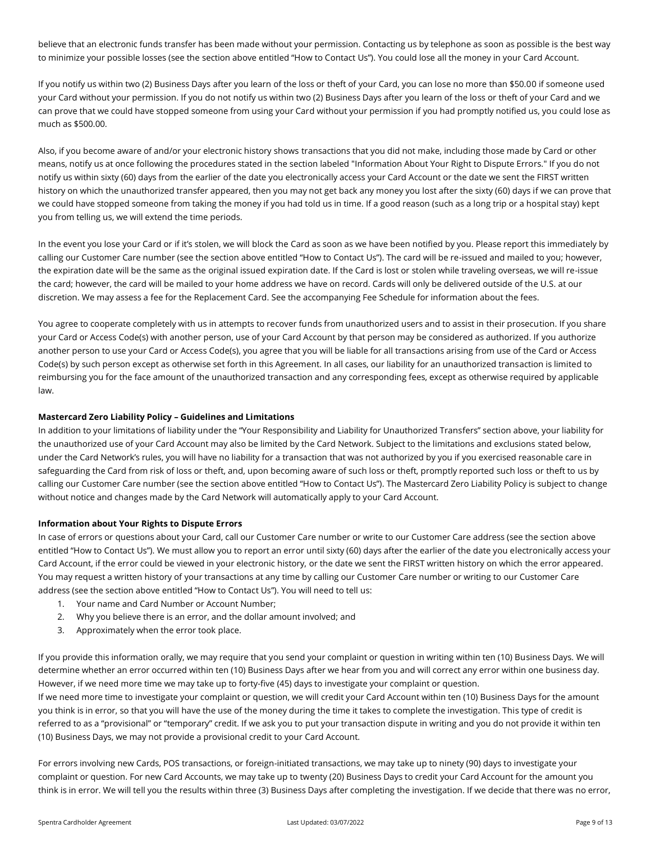believe that an electronic funds transfer has been made without your permission. Contacting us by telephone as soon as possible is the best way to minimize your possible losses (see the section above entitled "How to Contact Us"). You could lose all the money in your Card Account.

If you notify us within two (2) Business Days after you learn of the loss or theft of your Card, you can lose no more than \$50.00 if someone used your Card without your permission. If you do not notify us within two (2) Business Days after you learn of the loss or theft of your Card and we can prove that we could have stopped someone from using your Card without your permission if you had promptly notified us, you could lose as much as \$500.00.

Also, if you become aware of and/or your electronic history shows transactions that you did not make, including those made by Card or other means, notify us at once following the procedures stated in the section labeled "Information About Your Right to Dispute Errors." If you do not notify us within sixty (60) days from the earlier of the date you electronically access your Card Account or the date we sent the FIRST written history on which the unauthorized transfer appeared, then you may not get back any money you lost after the sixty (60) days if we can prove that we could have stopped someone from taking the money if you had told us in time. If a good reason (such as a long trip or a hospital stay) kept you from telling us, we will extend the time periods.

In the event you lose your Card or if it's stolen, we will block the Card as soon as we have been notified by you. Please report this immediately by calling our Customer Care number (see the section above entitled "How to Contact Us"). The card will be re-issued and mailed to you; however, the expiration date will be the same as the original issued expiration date. If the Card is lost or stolen while traveling overseas, we will re-issue the card; however, the card will be mailed to your home address we have on record. Cards will only be delivered outside of the U.S. at our discretion. We may assess a fee for the Replacement Card. See the accompanying Fee Schedule for information about the fees.

You agree to cooperate completely with us in attempts to recover funds from unauthorized users and to assist in their prosecution. If you share your Card or Access Code(s) with another person, use of your Card Account by that person may be considered as authorized. If you authorize another person to use your Card or Access Code(s), you agree that you will be liable for all transactions arising from use of the Card or Access Code(s) by such person except as otherwise set forth in this Agreement. In all cases, our liability for an unauthorized transaction is limited to reimbursing you for the face amount of the unauthorized transaction and any corresponding fees, except as otherwise required by applicable law.

# **Mastercard Zero Liability Policy – Guidelines and Limitations**

In addition to your limitations of liability under the "Your Responsibility and Liability for Unauthorized Transfers" section above, your liability for the unauthorized use of your Card Account may also be limited by the Card Network. Subject to the limitations and exclusions stated below, under the Card Network's rules, you will have no liability for a transaction that was not authorized by you if you exercised reasonable care in safeguarding the Card from risk of loss or theft, and, upon becoming aware of such loss or theft, promptly reported such loss or theft to us by calling our Customer Care number (see the section above entitled "How to Contact Us"). The Mastercard Zero Liability Policy is subject to change without notice and changes made by the Card Network will automatically apply to your Card Account.

# **Information about Your Rights to Dispute Errors**

In case of errors or questions about your Card, call our Customer Care number or write to our Customer Care address (see the section above entitled "How to Contact Us"). We must allow you to report an error until sixty (60) days after the earlier of the date you electronically access your Card Account, if the error could be viewed in your electronic history, or the date we sent the FIRST written history on which the error appeared. You may request a written history of your transactions at any time by calling our Customer Care number or writing to our Customer Care address (see the section above entitled "How to Contact Us"). You will need to tell us:

- 1. Your name and Card Number or Account Number;
- 2. Why you believe there is an error, and the dollar amount involved; and
- 3. Approximately when the error took place.

If you provide this information orally, we may require that you send your complaint or question in writing within ten (10) Business Days. We will determine whether an error occurred within ten (10) Business Days after we hear from you and will correct any error within one business day. However, if we need more time we may take up to forty-five (45) days to investigate your complaint or question.

If we need more time to investigate your complaint or question, we will credit your Card Account within ten (10) Business Days for the amount you think is in error, so that you will have the use of the money during the time it takes to complete the investigation. This type of credit is referred to as a "provisional" or "temporary" credit. If we ask you to put your transaction dispute in writing and you do not provide it within ten (10) Business Days, we may not provide a provisional credit to your Card Account.

For errors involving new Cards, POS transactions, or foreign-initiated transactions, we may take up to ninety (90) days to investigate your complaint or question. For new Card Accounts, we may take up to twenty (20) Business Days to credit your Card Account for the amount you think is in error. We will tell you the results within three (3) Business Days after completing the investigation. If we decide that there was no error,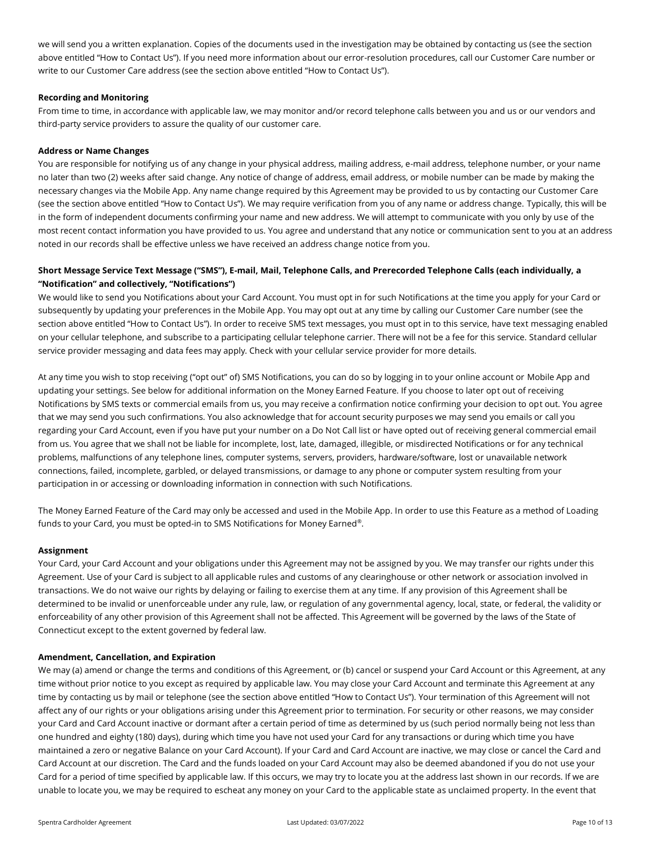we will send you a written explanation. Copies of the documents used in the investigation may be obtained by contacting us (see the section above entitled "How to Contact Us"). If you need more information about our error-resolution procedures, call our Customer Care number or write to our Customer Care address (see the section above entitled "How to Contact Us").

## **Recording and Monitoring**

From time to time, in accordance with applicable law, we may monitor and/or record telephone calls between you and us or our vendors and third-party service providers to assure the quality of our customer care.

## **Address or Name Changes**

You are responsible for notifying us of any change in your physical address, mailing address, e-mail address, telephone number, or your name no later than two (2) weeks after said change. Any notice of change of address, email address, or mobile number can be made by making the necessary changes via the Mobile App. Any name change required by this Agreement may be provided to us by contacting our Customer Care (see the section above entitled "How to Contact Us"). We may require verification from you of any name or address change. Typically, this will be in the form of independent documents confirming your name and new address. We will attempt to communicate with you only by use of the most recent contact information you have provided to us. You agree and understand that any notice or communication sent to you at an address noted in our records shall be effective unless we have received an address change notice from you.

# **Short Message Service Text Message ("SMS"), E-mail, Mail, Telephone Calls, and Prerecorded Telephone Calls (each individually, a "Notification" and collectively, "Notifications")**

We would like to send you Notifications about your Card Account. You must opt in for such Notifications at the time you apply for your Card or subsequently by updating your preferences in the Mobile App. You may opt out at any time by calling our Customer Care number (see the section above entitled "How to Contact Us"). In order to receive SMS text messages, you must opt in to this service, have text messaging enabled on your cellular telephone, and subscribe to a participating cellular telephone carrier. There will not be a fee for this service. Standard cellular service provider messaging and data fees may apply. Check with your cellular service provider for more details.

At any time you wish to stop receiving ("opt out" of) SMS Notifications, you can do so by logging in to your online account or Mobile App and updating your settings. See below for additional information on the Money Earned Feature. If you choose to later opt out of receiving Notifications by SMS texts or commercial emails from us, you may receive a confirmation notice confirming your decision to opt out. You agree that we may send you such confirmations. You also acknowledge that for account security purposes we may send you emails or call you regarding your Card Account, even if you have put your number on a Do Not Call list or have opted out of receiving general commercial email from us. You agree that we shall not be liable for incomplete, lost, late, damaged, illegible, or misdirected Notifications or for any technical problems, malfunctions of any telephone lines, computer systems, servers, providers, hardware/software, lost or unavailable network connections, failed, incomplete, garbled, or delayed transmissions, or damage to any phone or computer system resulting from your participation in or accessing or downloading information in connection with such Notifications.

The Money Earned Feature of the Card may only be accessed and used in the Mobile App. In order to use this Feature as a method of Loading funds to your Card, you must be opted-in to SMS Notifications for Money Earned $^\circ$ .

#### **Assignment**

Your Card, your Card Account and your obligations under this Agreement may not be assigned by you. We may transfer our rights under this Agreement. Use of your Card is subject to all applicable rules and customs of any clearinghouse or other network or association involved in transactions. We do not waive our rights by delaying or failing to exercise them at any time. If any provision of this Agreement shall be determined to be invalid or unenforceable under any rule, law, or regulation of any governmental agency, local, state, or federal, the validity or enforceability of any other provision of this Agreement shall not be affected. This Agreement will be governed by the laws of the State of Connecticut except to the extent governed by federal law.

#### **Amendment, Cancellation, and Expiration**

We may (a) amend or change the terms and conditions of this Agreement, or (b) cancel or suspend your Card Account or this Agreement, at any time without prior notice to you except as required by applicable law. You may close your Card Account and terminate this Agreement at any time by contacting us by mail or telephone (see the section above entitled "How to Contact Us"). Your termination of this Agreement will not affect any of our rights or your obligations arising under this Agreement prior to termination. For security or other reasons, we may consider your Card and Card Account inactive or dormant after a certain period of time as determined by us (such period normally being not less than one hundred and eighty (180) days), during which time you have not used your Card for any transactions or during which time you have maintained a zero or negative Balance on your Card Account). If your Card and Card Account are inactive, we may close or cancel the Card and Card Account at our discretion. The Card and the funds loaded on your Card Account may also be deemed abandoned if you do not use your Card for a period of time specified by applicable law. If this occurs, we may try to locate you at the address last shown in our records. If we are unable to locate you, we may be required to escheat any money on your Card to the applicable state as unclaimed property. In the event that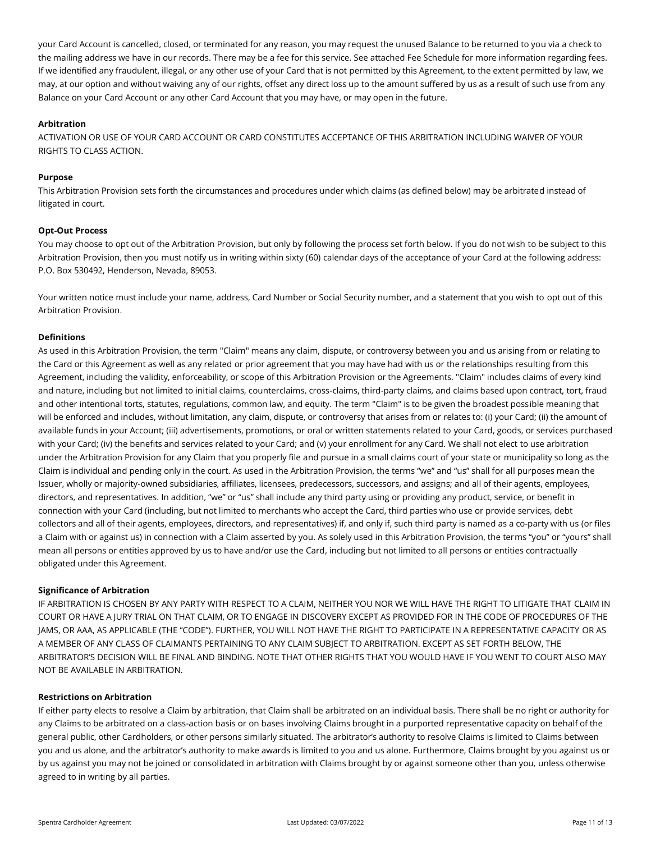your Card Account is cancelled, closed, or terminated for any reason, you may request the unused Balance to be returned to you via a check to the mailing address we have in our records. There may be a fee for this service. See attached Fee Schedule for more information regarding fees. If we identified any fraudulent, illegal, or any other use of your Card that is not permitted by this Agreement, to the extent permitted by law, we may, at our option and without waiving any of our rights, offset any direct loss up to the amount suffered by us as a result of such use from any Balance on your Card Account or any other Card Account that you may have, or may open in the future.

# **Arbitration**

ACTIVATION OR USE OF YOUR CARD ACCOUNT OR CARD CONSTITUTES ACCEPTANCE OF THIS ARBITRATION INCLUDING WAIVER OF YOUR RIGHTS TO CLASS ACTION.

# **Purpose**

This Arbitration Provision sets forth the circumstances and procedures under which claims (as defined below) may be arbitrated instead of litigated in court.

# **Opt-Out Process**

You may choose to opt out of the Arbitration Provision, but only by following the process set forth below. If you do not wish to be subject to this Arbitration Provision, then you must notify us in writing within sixty (60) calendar days of the acceptance of your Card at the following address: P.O. Box 530492, Henderson, Nevada, 89053.

Your written notice must include your name, address, Card Number or Social Security number, and a statement that you wish to opt out of this Arbitration Provision.

## **Definitions**

As used in this Arbitration Provision, the term "Claim" means any claim, dispute, or controversy between you and us arising from or relating to the Card or this Agreement as well as any related or prior agreement that you may have had with us or the relationships resulting from this Agreement, including the validity, enforceability, or scope of this Arbitration Provision or the Agreements. "Claim" includes claims of every kind and nature, including but not limited to initial claims, counterclaims, cross-claims, third-party claims, and claims based upon contract, tort, fraud and other intentional torts, statutes, regulations, common law, and equity. The term "Claim" is to be given the broadest possible meaning that will be enforced and includes, without limitation, any claim, dispute, or controversy that arises from or relates to: (i) your Card; (ii) the amount of available funds in your Account; (iii) advertisements, promotions, or oral or written statements related to your Card, goods, or services purchased with your Card; (iv) the benefits and services related to your Card; and (v) your enrollment for any Card. We shall not elect to use arbitration under the Arbitration Provision for any Claim that you properly file and pursue in a small claims court of your state or municipality so long as the Claim is individual and pending only in the court. As used in the Arbitration Provision, the terms "we" and "us" shall for all purposes mean the Issuer, wholly or majority-owned subsidiaries, affiliates, licensees, predecessors, successors, and assigns; and all of their agents, employees, directors, and representatives. In addition, "we" or "us" shall include any third party using or providing any product, service, or benefit in connection with your Card (including, but not limited to merchants who accept the Card, third parties who use or provide services, debt collectors and all of their agents, employees, directors, and representatives) if, and only if, such third party is named as a co-party with us (or files a Claim with or against us) in connection with a Claim asserted by you. As solely used in this Arbitration Provision, the terms "you" or "yours" shall mean all persons or entities approved by us to have and/or use the Card, including but not limited to all persons or entities contractually obligated under this Agreement.

## **Significance of Arbitration**

IF ARBITRATION IS CHOSEN BY ANY PARTY WITH RESPECT TO A CLAIM, NEITHER YOU NOR WE WILL HAVE THE RIGHT TO LITIGATE THAT CLAIM IN COURT OR HAVE A JURY TRIAL ON THAT CLAIM, OR TO ENGAGE IN DISCOVERY EXCEPT AS PROVIDED FOR IN THE CODE OF PROCEDURES OF THE JAMS, OR AAA, AS APPLICABLE (THE "CODE"). FURTHER, YOU WILL NOT HAVE THE RIGHT TO PARTICIPATE IN A REPRESENTATIVE CAPACITY OR AS A MEMBER OF ANY CLASS OF CLAIMANTS PERTAINING TO ANY CLAIM SUBJECT TO ARBITRATION. EXCEPT AS SET FORTH BELOW, THE ARBITRATOR'S DECISION WILL BE FINAL AND BINDING. NOTE THAT OTHER RIGHTS THAT YOU WOULD HAVE IF YOU WENT TO COURT ALSO MAY NOT BE AVAILABLE IN ARBITRATION.

## **Restrictions on Arbitration**

If either party elects to resolve a Claim by arbitration, that Claim shall be arbitrated on an individual basis. There shall be no right or authority for any Claims to be arbitrated on a class-action basis or on bases involving Claims brought in a purported representative capacity on behalf of the general public, other Cardholders, or other persons similarly situated. The arbitrator's authority to resolve Claims is limited to Claims between you and us alone, and the arbitrator's authority to make awards is limited to you and us alone. Furthermore, Claims brought by you against us or by us against you may not be joined or consolidated in arbitration with Claims brought by or against someone other than you, unless otherwise agreed to in writing by all parties.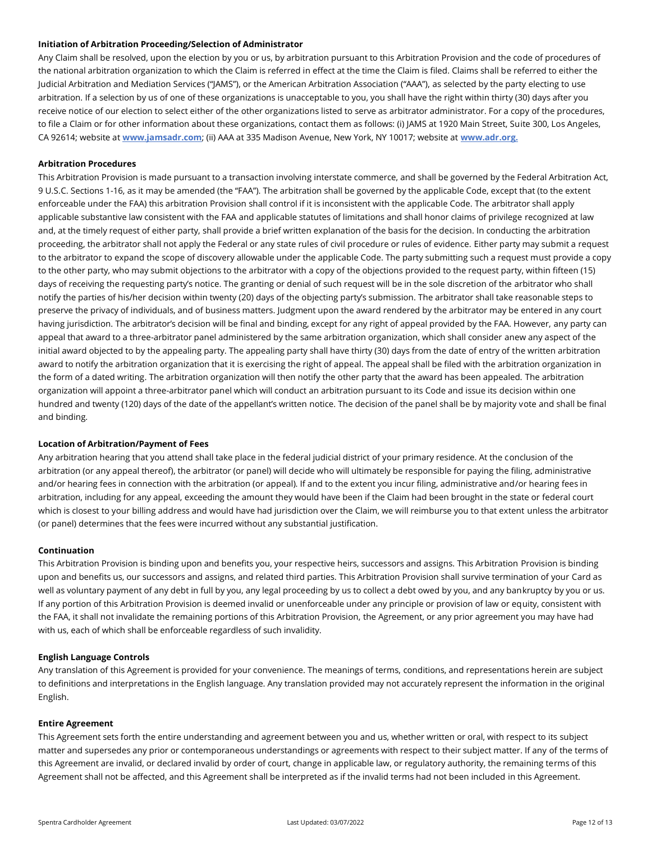## **Initiation of Arbitration Proceeding/Selection of Administrator**

Any Claim shall be resolved, upon the election by you or us, by arbitration pursuant to this Arbitration Provision and the code of procedures of the national arbitration organization to which the Claim is referred in effect at the time the Claim is filed. Claims shall be referred to either the Judicial Arbitration and Mediation Services ("JAMS"), or the American Arbitration Association ("AAA"), as selected by the party electing to use arbitration. If a selection by us of one of these organizations is unacceptable to you, you shall have the right within thirty (30) days after you receive notice of our election to select either of the other organizations listed to serve as arbitrator administrator. For a copy of the procedures, to file a Claim or for other information about these organizations, contact them as follows: (i) JAMS at 1920 Main Street, Suite 300, Los Angeles, CA 92614; website at **[www.jamsadr.com](http://www.jamsadr.com/)**; (ii) AAA at 335 Madison Avenue, New York, NY 10017; website at **[www.adr.org.](http://www.adr.org/)**

## **Arbitration Procedures**

This Arbitration Provision is made pursuant to a transaction involving interstate commerce, and shall be governed by the Federal Arbitration Act, 9 U.S.C. Sections 1-16, as it may be amended (the "FAA"). The arbitration shall be governed by the applicable Code, except that (to the extent enforceable under the FAA) this arbitration Provision shall control if it is inconsistent with the applicable Code. The arbitrator shall apply applicable substantive law consistent with the FAA and applicable statutes of limitations and shall honor claims of privilege recognized at law and, at the timely request of either party, shall provide a brief written explanation of the basis for the decision. In conducting the arbitration proceeding, the arbitrator shall not apply the Federal or any state rules of civil procedure or rules of evidence. Either party may submit a request to the arbitrator to expand the scope of discovery allowable under the applicable Code. The party submitting such a request must provide a copy to the other party, who may submit objections to the arbitrator with a copy of the objections provided to the request party, within fifteen (15) days of receiving the requesting party's notice. The granting or denial of such request will be in the sole discretion of the arbitrator who shall notify the parties of his/her decision within twenty (20) days of the objecting party's submission. The arbitrator shall take reasonable steps to preserve the privacy of individuals, and of business matters. Judgment upon the award rendered by the arbitrator may be entered in any court having jurisdiction. The arbitrator's decision will be final and binding, except for any right of appeal provided by the FAA. However, any party can appeal that award to a three-arbitrator panel administered by the same arbitration organization, which shall consider anew any aspect of the initial award objected to by the appealing party. The appealing party shall have thirty (30) days from the date of entry of the written arbitration award to notify the arbitration organization that it is exercising the right of appeal. The appeal shall be filed with the arbitration organization in the form of a dated writing. The arbitration organization will then notify the other party that the award has been appealed. The arbitration organization will appoint a three-arbitrator panel which will conduct an arbitration pursuant to its Code and issue its decision within one hundred and twenty (120) days of the date of the appellant's written notice. The decision of the panel shall be by majority vote and shall be final and binding.

#### **Location of Arbitration/Payment of Fees**

Any arbitration hearing that you attend shall take place in the federal judicial district of your primary residence. At the conclusion of the arbitration (or any appeal thereof), the arbitrator (or panel) will decide who will ultimately be responsible for paying the filing, administrative and/or hearing fees in connection with the arbitration (or appeal). If and to the extent you incur filing, administrative and/or hearing fees in arbitration, including for any appeal, exceeding the amount they would have been if the Claim had been brought in the state or federal court which is closest to your billing address and would have had jurisdiction over the Claim, we will reimburse you to that extent unless the arbitrator (or panel) determines that the fees were incurred without any substantial justification.

#### **Continuation**

This Arbitration Provision is binding upon and benefits you, your respective heirs, successors and assigns. This Arbitration Provision is binding upon and benefits us, our successors and assigns, and related third parties. This Arbitration Provision shall survive termination of your Card as well as voluntary payment of any debt in full by you, any legal proceeding by us to collect a debt owed by you, and any bankruptcy by you or us. If any portion of this Arbitration Provision is deemed invalid or unenforceable under any principle or provision of law or equity, consistent with the FAA, it shall not invalidate the remaining portions of this Arbitration Provision, the Agreement, or any prior agreement you may have had with us, each of which shall be enforceable regardless of such invalidity.

#### **English Language Controls**

Any translation of this Agreement is provided for your convenience. The meanings of terms, conditions, and representations herein are subject to definitions and interpretations in the English language. Any translation provided may not accurately represent the information in the original English.

## **Entire Agreement**

This Agreement sets forth the entire understanding and agreement between you and us, whether written or oral, with respect to its subject matter and supersedes any prior or contemporaneous understandings or agreements with respect to their subject matter. If any of the terms of this Agreement are invalid, or declared invalid by order of court, change in applicable law, or regulatory authority, the remaining terms of this Agreement shall not be affected, and this Agreement shall be interpreted as if the invalid terms had not been included in this Agreement.